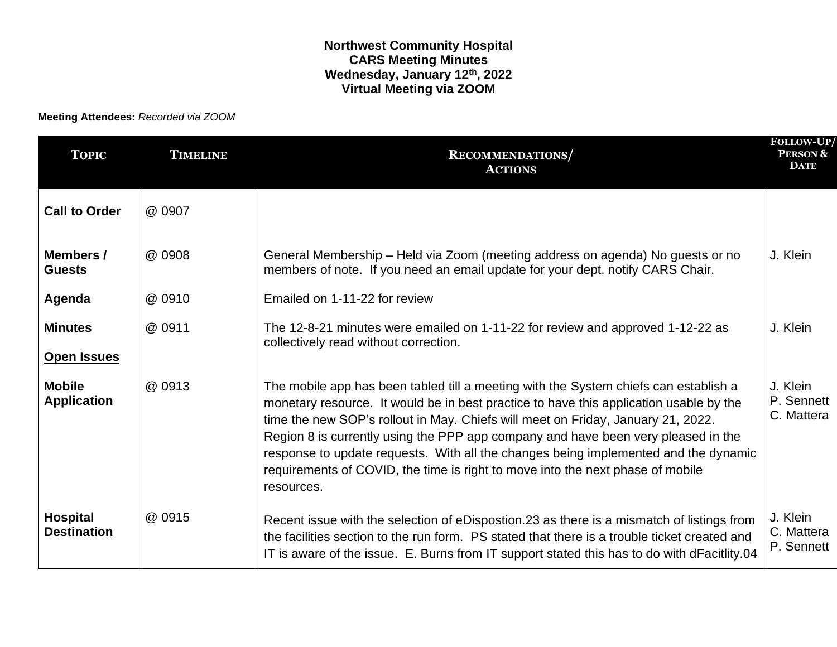**Meeting Attendees:** *Recorded via ZOOM*

| <b>TOPIC</b>                          | <b>TIMELINE</b> | <b>RECOMMENDATIONS</b><br><b>ACTIONS</b>                                                                                                                                                                                                                                                                                                                                                                                                                                                                                                       | FOLLOW-UP/<br><b>PERSON &amp;</b><br><b>DATE</b> |
|---------------------------------------|-----------------|------------------------------------------------------------------------------------------------------------------------------------------------------------------------------------------------------------------------------------------------------------------------------------------------------------------------------------------------------------------------------------------------------------------------------------------------------------------------------------------------------------------------------------------------|--------------------------------------------------|
| <b>Call to Order</b>                  | @ 0907          |                                                                                                                                                                                                                                                                                                                                                                                                                                                                                                                                                |                                                  |
| Members /<br><b>Guests</b>            | @ 0908          | General Membership - Held via Zoom (meeting address on agenda) No guests or no<br>members of note. If you need an email update for your dept. notify CARS Chair.                                                                                                                                                                                                                                                                                                                                                                               |                                                  |
| Agenda                                | @ 0910          | Emailed on 1-11-22 for review                                                                                                                                                                                                                                                                                                                                                                                                                                                                                                                  |                                                  |
| <b>Minutes</b>                        | @ 0911          | The 12-8-21 minutes were emailed on 1-11-22 for review and approved 1-12-22 as<br>collectively read without correction.                                                                                                                                                                                                                                                                                                                                                                                                                        |                                                  |
| <b>Open Issues</b>                    |                 |                                                                                                                                                                                                                                                                                                                                                                                                                                                                                                                                                |                                                  |
| <b>Mobile</b><br><b>Application</b>   | @ 0913          | The mobile app has been tabled till a meeting with the System chiefs can establish a<br>monetary resource. It would be in best practice to have this application usable by the<br>time the new SOP's rollout in May. Chiefs will meet on Friday, January 21, 2022.<br>Region 8 is currently using the PPP app company and have been very pleased in the<br>response to update requests. With all the changes being implemented and the dynamic<br>requirements of COVID, the time is right to move into the next phase of mobile<br>resources. |                                                  |
| <b>Hospital</b><br><b>Destination</b> | @ 0915          | Recent issue with the selection of eDispostion.23 as there is a mismatch of listings from<br>the facilities section to the run form. PS stated that there is a trouble ticket created and<br>IT is aware of the issue. E. Burns from IT support stated this has to do with dFacitlity.04                                                                                                                                                                                                                                                       | J. Klein<br>C. Mattera<br>P. Sennett             |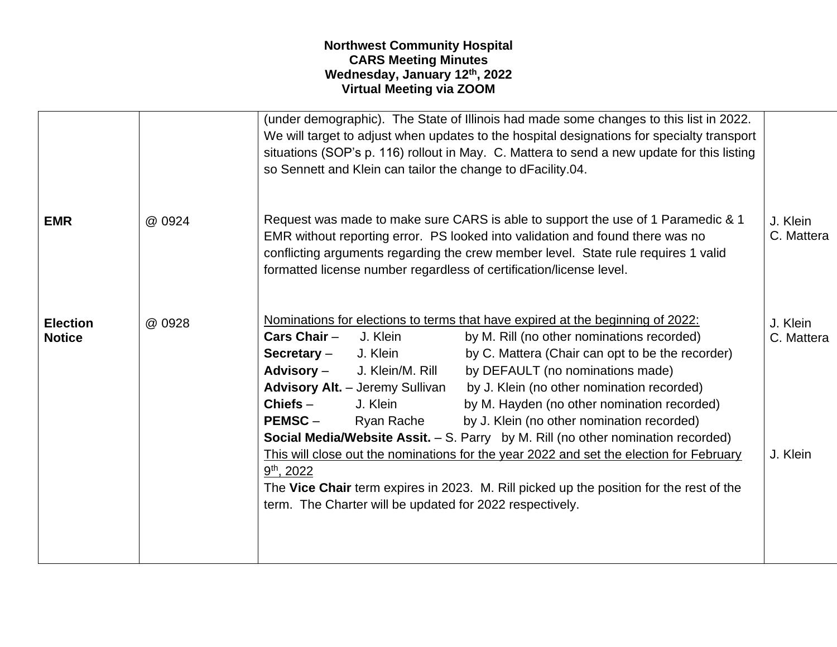|                                  |        | (under demographic). The State of Illinois had made some changes to this list in 2022.<br>We will target to adjust when updates to the hospital designations for specialty transport<br>situations (SOP's p. 116) rollout in May. C. Mattera to send a new update for this listing<br>so Sennett and Klein can tailor the change to dFacility.04.                                                                                                                                                                                                                                                                                        |                                                                                                                                                                                                                                                                               |                                    |
|----------------------------------|--------|------------------------------------------------------------------------------------------------------------------------------------------------------------------------------------------------------------------------------------------------------------------------------------------------------------------------------------------------------------------------------------------------------------------------------------------------------------------------------------------------------------------------------------------------------------------------------------------------------------------------------------------|-------------------------------------------------------------------------------------------------------------------------------------------------------------------------------------------------------------------------------------------------------------------------------|------------------------------------|
| <b>EMR</b>                       | @ 0924 | Request was made to make sure CARS is able to support the use of 1 Paramedic & 1<br>EMR without reporting error. PS looked into validation and found there was no<br>conflicting arguments regarding the crew member level. State rule requires 1 valid<br>formatted license number regardless of certification/license level.                                                                                                                                                                                                                                                                                                           |                                                                                                                                                                                                                                                                               | J. Klein<br>C. Mattera             |
| <b>Election</b><br><b>Notice</b> | @ 0928 | Nominations for elections to terms that have expired at the beginning of 2022:<br>Cars Chair $-$<br>J. Klein<br>J. Klein<br>Secretary -<br><b>Advisory –</b><br>J. Klein/M. Rill<br><b>Advisory Alt.</b> - Jeremy Sullivan<br>$Chiefs-$<br>J. Klein<br>Ryan Rache<br><b>PEMSC-</b><br>Social Media/Website Assit. - S. Parry by M. Rill (no other nomination recorded)<br>This will close out the nominations for the year 2022 and set the election for February<br>$9th$ , 2022<br>The Vice Chair term expires in 2023. M. Rill picked up the position for the rest of the<br>term. The Charter will be updated for 2022 respectively. | by M. Rill (no other nominations recorded)<br>by C. Mattera (Chair can opt to be the recorder)<br>by DEFAULT (no nominations made)<br>by J. Klein (no other nomination recorded)<br>by M. Hayden (no other nomination recorded)<br>by J. Klein (no other nomination recorded) | J. Klein<br>C. Mattera<br>J. Klein |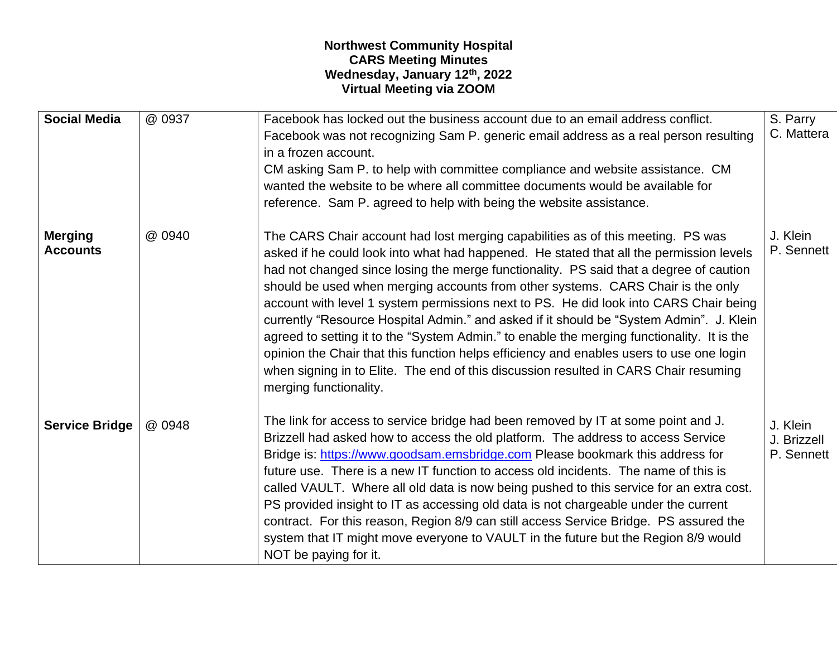| <b>Social Media</b>               | @ 0937 | Facebook has locked out the business account due to an email address conflict.<br>Facebook was not recognizing Sam P. generic email address as a real person resulting<br>in a frozen account.<br>CM asking Sam P. to help with committee compliance and website assistance. CM<br>wanted the website to be where all committee documents would be available for<br>reference. Sam P. agreed to help with being the website assistance.                                                                                                                                                                                                                                                                                                                                                                                                                 | S. Parry<br>C. Mattera                |
|-----------------------------------|--------|---------------------------------------------------------------------------------------------------------------------------------------------------------------------------------------------------------------------------------------------------------------------------------------------------------------------------------------------------------------------------------------------------------------------------------------------------------------------------------------------------------------------------------------------------------------------------------------------------------------------------------------------------------------------------------------------------------------------------------------------------------------------------------------------------------------------------------------------------------|---------------------------------------|
| <b>Merging</b><br><b>Accounts</b> | @ 0940 | The CARS Chair account had lost merging capabilities as of this meeting. PS was<br>asked if he could look into what had happened. He stated that all the permission levels<br>had not changed since losing the merge functionality. PS said that a degree of caution<br>should be used when merging accounts from other systems. CARS Chair is the only<br>account with level 1 system permissions next to PS. He did look into CARS Chair being<br>currently "Resource Hospital Admin." and asked if it should be "System Admin". J. Klein<br>agreed to setting it to the "System Admin." to enable the merging functionality. It is the<br>opinion the Chair that this function helps efficiency and enables users to use one login<br>when signing in to Elite. The end of this discussion resulted in CARS Chair resuming<br>merging functionality. | J. Klein<br>P. Sennett                |
| <b>Service Bridge</b>             | @ 0948 | The link for access to service bridge had been removed by IT at some point and J.<br>Brizzell had asked how to access the old platform. The address to access Service<br>Bridge is: https://www.goodsam.emsbridge.com Please bookmark this address for<br>future use. There is a new IT function to access old incidents. The name of this is<br>called VAULT. Where all old data is now being pushed to this service for an extra cost.<br>PS provided insight to IT as accessing old data is not chargeable under the current<br>contract. For this reason, Region 8/9 can still access Service Bridge. PS assured the<br>system that IT might move everyone to VAULT in the future but the Region 8/9 would<br>NOT be paying for it.                                                                                                                 | J. Klein<br>J. Brizzell<br>P. Sennett |